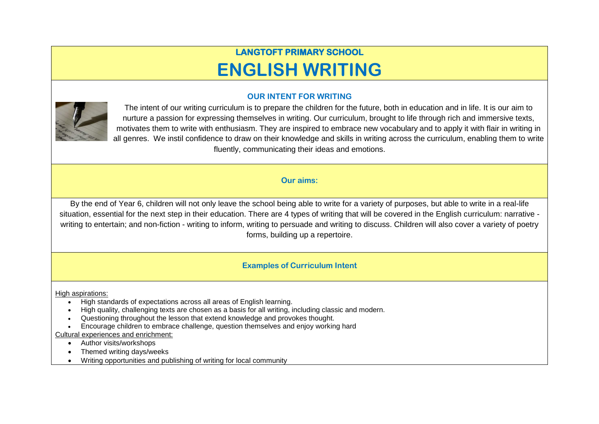# **LANGTOFT PRIMARY SCHOOL ENGLISH WRITING**

# **OUR INTENT FOR WRITING**



The intent of our writing curriculum is to prepare the children for the future, both in education and in life. It is our aim to nurture a passion for expressing themselves in writing. Our curriculum, brought to life through rich and immersive texts, motivates them to write with enthusiasm. They are inspired to embrace new vocabulary and to apply it with flair in writing in all genres. We instil confidence to draw on their knowledge and skills in writing across the curriculum, enabling them to write fluently, communicating their ideas and emotions.

## **Our aims:**

By the end of Year 6, children will not only leave the school being able to write for a variety of purposes, but able to write in a real-life situation, essential for the next step in their education. There are 4 types of writing that will be covered in the English curriculum: narrative writing to entertain; and non-fiction - writing to inform, writing to persuade and writing to discuss. Children will also cover a variety of poetry forms, building up a repertoire.

### **Examples of Curriculum Intent**

High aspirations:

- High standards of expectations across all areas of English learning.
- High quality, challenging texts are chosen as a basis for all writing, including classic and modern.
- Questioning throughout the lesson that extend knowledge and provokes thought.
- Encourage children to embrace challenge, question themselves and enjoy working hard

Cultural experiences and enrichment:

- Author visits/workshops
- Themed writing days/weeks
- Writing opportunities and publishing of writing for local community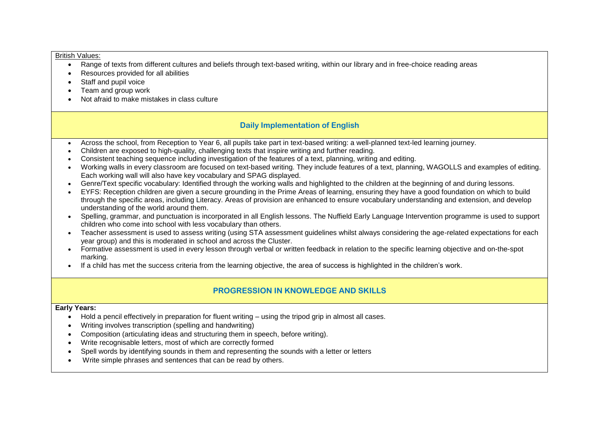#### British Values:

- Range of texts from different cultures and beliefs through text-based writing, within our library and in free-choice reading areas
- Resources provided for all abilities
- Staff and pupil voice
- Team and group work
- Not afraid to make mistakes in class culture

# **Daily Implementation of English**

- Across the school, from Reception to Year 6, all pupils take part in text-based writing: a well-planned text-led learning journey.
- Children are exposed to high-quality, challenging texts that inspire writing and further reading.
- Consistent teaching sequence including investigation of the features of a text, planning, writing and editing.
- Working walls in every classroom are focused on text-based writing. They include features of a text, planning, WAGOLLS and examples of editing. Each working wall will also have key vocabulary and SPAG displayed.
- Genre/Text specific vocabulary: Identified through the working walls and highlighted to the children at the beginning of and during lessons.
- EYFS: Reception children are given a secure grounding in the Prime Areas of learning, ensuring they have a good foundation on which to build through the specific areas, including Literacy. Areas of provision are enhanced to ensure vocabulary understanding and extension, and develop understanding of the world around them.
- Spelling, grammar, and punctuation is incorporated in all English lessons. The Nuffield Early Language Intervention programme is used to support children who come into school with less vocabulary than others.
- Teacher assessment is used to assess writing (using STA assessment guidelines whilst always considering the age-related expectations for each year group) and this is moderated in school and across the Cluster.
- Formative assessment is used in every lesson through verbal or written feedback in relation to the specific learning objective and on-the-spot marking.
- If a child has met the success criteria from the learning objective, the area of success is highlighted in the children's work.

# **PROGRESSION IN KNOWLEDGE AND SKILLS**

#### **Early Years:**

- Hold a pencil effectively in preparation for fluent writing using the tripod grip in almost all cases.
- Writing involves transcription (spelling and handwriting)
- Composition (articulating ideas and structuring them in speech, before writing).
- Write recognisable letters, most of which are correctly formed
- Spell words by identifying sounds in them and representing the sounds with a letter or letters
- Write simple phrases and sentences that can be read by others.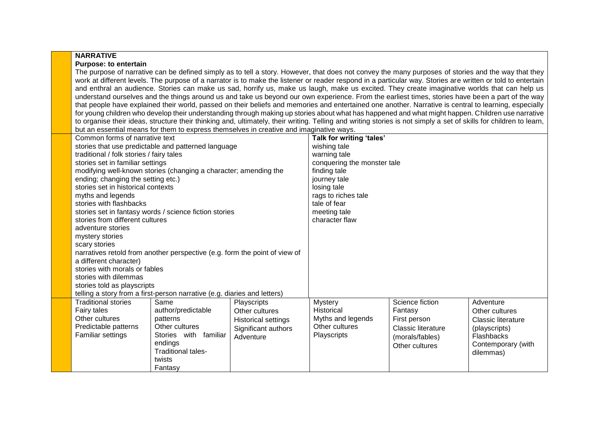#### **NARRATIVE**

#### **Purpose: to entertain**

The purpose of narrative can be defined simply as to tell a story. However, that does not convey the many purposes of stories and the way that they work at different levels. The purpose of a narrator is to make the listener or reader respond in a particular way. Stories are written or told to entertain and enthral an audience. Stories can make us sad, horrify us, make us laugh, make us excited. They create imaginative worlds that can help us understand ourselves and the things around us and take us beyond our own experience. From the earliest times, stories have been a part of the way that people have explained their world, passed on their beliefs and memories and entertained one another. Narrative is central to learning, especially for young children who develop their understanding through making up stories about what has happened and what might happen. Children use narrative to organise their ideas, structure their thinking and, ultimately, their writing. Telling and writing stories is not simply a set of skills for children to learn, but an essential means for them to express themselves in creative and imaginative ways.

| Common forms of narrative text<br>traditional / folk stories / fairy tales<br>stories set in familiar settings<br>ending; changing the setting etc.)<br>stories set in historical contexts<br>myths and legends<br>stories with flashbacks<br>stories from different cultures<br>adventure stories | stories that use predictable and patterned language<br>modifying well-known stories (changing a character; amending the<br>stories set in fantasy words / science fiction stories |                                                                                          | Talk for writing 'tales'<br>wishing tale<br>warning tale<br>conquering the monster tale<br>finding tale<br>journey tale<br>losing tale<br>rags to riches tale<br>tale of fear<br>meeting tale<br>character flaw |                                                                                                              |                                                                                                                            |
|----------------------------------------------------------------------------------------------------------------------------------------------------------------------------------------------------------------------------------------------------------------------------------------------------|-----------------------------------------------------------------------------------------------------------------------------------------------------------------------------------|------------------------------------------------------------------------------------------|-----------------------------------------------------------------------------------------------------------------------------------------------------------------------------------------------------------------|--------------------------------------------------------------------------------------------------------------|----------------------------------------------------------------------------------------------------------------------------|
| mystery stories<br>scary stories<br>a different character)<br>stories with morals or fables<br>stories with dilemmas<br>stories told as playscripts                                                                                                                                                | narratives retold from another perspective (e.g. form the point of view of<br>telling a story from a first-person narrative (e.g. diaries and letters)                            |                                                                                          |                                                                                                                                                                                                                 |                                                                                                              |                                                                                                                            |
| <b>Traditional stories</b><br>Fairy tales<br>Other cultures<br>Predictable patterns<br>Familiar settings                                                                                                                                                                                           | Same<br>author/predictable<br>patterns<br>Other cultures<br>Stories with familiar<br>endings<br><b>Traditional tales-</b><br>twists<br>Fantasy                                    | Playscripts<br>Other cultures<br>Historical settings<br>Significant authors<br>Adventure | <b>Mystery</b><br><b>Historical</b><br>Myths and legends<br>Other cultures<br>Playscripts                                                                                                                       | Science fiction<br>Fantasy<br>First person<br><b>Classic literature</b><br>(morals/fables)<br>Other cultures | Adventure<br>Other cultures<br><b>Classic literature</b><br>(playscripts)<br>Flashbacks<br>Contemporary (with<br>dilemmas) |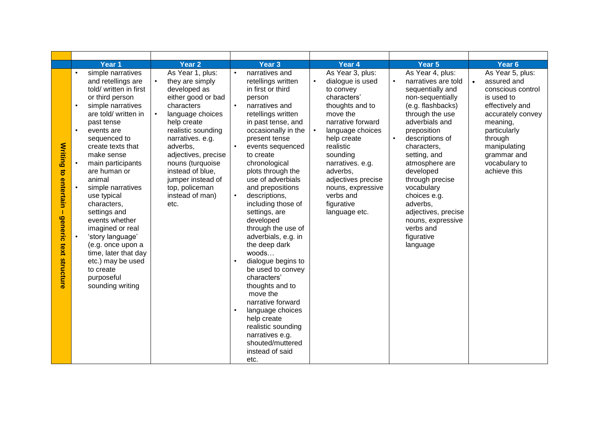|                                                                      | Year 1                                                                                                                                                                                                                                                                                                                                                                                                                                                                                                                                                                         | Year <sub>2</sub>                                                                                                                                                                                                                                                                                                 | Year <sub>3</sub>                                                                                                                                                                                                                                                                                                                                                                                                                                                                                                                                                                                                                                                                                        | Year 4                                                                                                                                                                                                                                                                                                               | Year <sub>5</sub>                                                                                                                                                                                                                                                                                                                                                                                                   | Year <sub>6</sub>                                                                                                                                                                                                 |
|----------------------------------------------------------------------|--------------------------------------------------------------------------------------------------------------------------------------------------------------------------------------------------------------------------------------------------------------------------------------------------------------------------------------------------------------------------------------------------------------------------------------------------------------------------------------------------------------------------------------------------------------------------------|-------------------------------------------------------------------------------------------------------------------------------------------------------------------------------------------------------------------------------------------------------------------------------------------------------------------|----------------------------------------------------------------------------------------------------------------------------------------------------------------------------------------------------------------------------------------------------------------------------------------------------------------------------------------------------------------------------------------------------------------------------------------------------------------------------------------------------------------------------------------------------------------------------------------------------------------------------------------------------------------------------------------------------------|----------------------------------------------------------------------------------------------------------------------------------------------------------------------------------------------------------------------------------------------------------------------------------------------------------------------|---------------------------------------------------------------------------------------------------------------------------------------------------------------------------------------------------------------------------------------------------------------------------------------------------------------------------------------------------------------------------------------------------------------------|-------------------------------------------------------------------------------------------------------------------------------------------------------------------------------------------------------------------|
| <b>Writing to entertain</b><br>T<br><b>generic</b><br>text structure | simple narratives<br>and retellings are<br>told/ written in first<br>or third person<br>simple narratives<br>$\bullet$<br>are told/ written in<br>past tense<br>$\bullet$<br>events are<br>sequenced to<br>create texts that<br>make sense<br>main participants<br>$\bullet$<br>are human or<br>animal<br>$\bullet$<br>simple narratives<br>use typical<br>characters,<br>settings and<br>events whether<br>imagined or real<br>'story language'<br>$\bullet$<br>(e.g. once upon a<br>time, later that day<br>etc.) may be used<br>to create<br>purposeful<br>sounding writing | As Year 1, plus:<br>they are simply<br>developed as<br>either good or bad<br>characters<br>language choices<br>help create<br>realistic sounding<br>narratives. e.g.<br>adverbs,<br>adjectives, precise<br>nouns (turquoise<br>instead of blue,<br>jumper instead of<br>top, policeman<br>instead of man)<br>etc. | narratives and<br>retellings written<br>in first or third<br>person<br>narratives and<br>retellings written<br>in past tense, and<br>occasionally in the<br>present tense<br>events sequenced<br>to create<br>chronological<br>plots through the<br>use of adverbials<br>and prepositions<br>$\bullet$<br>descriptions,<br>including those of<br>settings, are<br>developed<br>through the use of<br>adverbials, e.g. in<br>the deep dark<br>woods<br>dialogue begins to<br>be used to convey<br>characters'<br>thoughts and to<br>move the<br>narrative forward<br>language choices<br>$\bullet$<br>help create<br>realistic sounding<br>narratives e.g.<br>shouted/muttered<br>instead of said<br>etc. | As Year 3, plus:<br>dialogue is used<br>$\bullet$<br>to convey<br>characters'<br>thoughts and to<br>move the<br>narrative forward<br>language choices<br>help create<br>realistic<br>sounding<br>narratives. e.g.<br>adverbs,<br>adjectives precise<br>nouns, expressive<br>verbs and<br>figurative<br>language etc. | As Year 4, plus:<br>narratives are told<br>$\bullet$<br>sequentially and<br>non-sequentially<br>(e.g. flashbacks)<br>through the use<br>adverbials and<br>preposition<br>$\bullet$<br>descriptions of<br>characters,<br>setting, and<br>atmosphere are<br>developed<br>through precise<br>vocabulary<br>choices e.g.<br>adverbs,<br>adjectives, precise<br>nouns, expressive<br>verbs and<br>figurative<br>language | As Year 5, plus:<br>assured and<br>conscious control<br>is used to<br>effectively and<br>accurately convey<br>meaning,<br>particularly<br>through<br>manipulating<br>grammar and<br>vocabulary to<br>achieve this |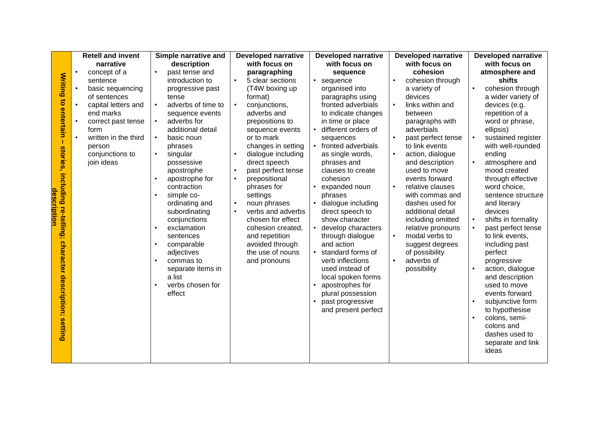|                                | <b>Retell and invent</b>         | Simple narrative and                 | <b>Developed narrative</b>          | <b>Developed narrative</b>            | <b>Developed narrative</b>                | <b>Developed narrative</b>              |
|--------------------------------|----------------------------------|--------------------------------------|-------------------------------------|---------------------------------------|-------------------------------------------|-----------------------------------------|
|                                | narrative                        | description                          | with focus on                       | with focus on                         | with focus on                             | with focus on                           |
|                                | concept of a<br>$\bullet$        | past tense and<br>$\bullet$          | paragraphing                        | sequence                              | cohesion                                  | atmosphere and                          |
|                                | sentence                         | introduction to                      | 5 clear sections<br>$\bullet$       | sequence<br>$\bullet$                 | cohesion through                          | shifts                                  |
|                                | basic sequencing<br>$\bullet$    | progressive past                     | (T4W boxing up                      | organised into                        | a variety of                              | cohesion through                        |
|                                | of sentences                     | tense                                | format)                             | paragraphs using                      | devices                                   | a wider variety of                      |
|                                | capital letters and<br>$\bullet$ | adverbs of time to<br>$\bullet$      | conjunctions,                       | fronted adverbials                    | links within and                          | devices (e.g.                           |
|                                | end marks                        | sequence events                      | adverbs and                         | to indicate changes                   | between                                   | repetition of a                         |
|                                | correct past tense               | adverbs for<br>$\bullet$             | prepositions to                     | in time or place                      | paragraphs with                           | word or phrase,                         |
| <b>Writing to entertain</b>    | form<br>written in the third     | additional detail                    | sequence events                     | different orders of                   | adverbials                                | ellipsis)                               |
|                                |                                  | basic noun<br>$\bullet$<br>phrases   | or to mark<br>changes in setting    | sequences<br>fronted adverbials       | past perfect tense<br>to link events      | sustained register<br>with well-rounded |
|                                | person<br>conjunctions to        | singular<br>$\bullet$                | dialogue including                  | as single words,                      | action, dialogue                          | ending                                  |
|                                | join ideas                       | possessive                           | direct speech                       | phrases and                           | and description                           | atmosphere and                          |
|                                |                                  | apostrophe                           | past perfect tense                  | clauses to create                     | used to move                              | mood created                            |
|                                |                                  | apostrophe for<br>$\bullet$          | $\bullet$<br>prepositional          | cohesion                              | events forward                            | through effective                       |
|                                |                                  | contraction                          | phrases for                         | expanded noun                         | $\bullet$<br>relative clauses             | word choice,                            |
| desci                          |                                  | simple co-<br>$\bullet$              | settings                            | phrases                               | with commas and                           | sentence structure                      |
|                                |                                  | ordinating and                       | noun phrases<br>$\bullet$           | dialogue including<br>$\bullet$       | dashes used for                           | and literary                            |
| ription                        |                                  | subordinating                        | verbs and adverbs<br>$\bullet$      | direct speech to                      | additional detail                         | devices                                 |
|                                |                                  | conjunctions                         | chosen for effect                   | show character                        | including omitted                         | shifts in formality<br>$\bullet$        |
| stories, including re-telling; |                                  | exclamation<br>$\bullet$             | cohesion created,                   | develop characters                    | relative pronouns                         | past perfect tense                      |
|                                |                                  | sentences                            | and repetition                      | through dialogue                      | modal verbs to                            | to link events,                         |
|                                |                                  | comparable<br>$\bullet$              | avoided through<br>the use of nouns | and action<br>$\bullet$               | suggest degrees                           | including past                          |
|                                |                                  | adjectives<br>commas to<br>$\bullet$ | and pronouns                        | standard forms of<br>verb inflections | of possibility<br>adverbs of<br>$\bullet$ | perfect<br>progressive                  |
|                                |                                  | separate items in                    |                                     | used instead of                       | possibility                               | action, dialogue<br>$\bullet$           |
|                                |                                  | a list                               |                                     | local spoken forms                    |                                           | and description                         |
| character description;         |                                  | verbs chosen for<br>$\bullet$        |                                     | apostrophes for<br>$\bullet$          |                                           | used to move                            |
|                                |                                  | effect                               |                                     | plural possession                     |                                           | events forward                          |
|                                |                                  |                                      |                                     | past progressive<br>$\bullet$         |                                           | subjunctive form<br>$\bullet$           |
|                                |                                  |                                      |                                     | and present perfect                   |                                           | to hypothesise                          |
|                                |                                  |                                      |                                     |                                       |                                           | colons, semi-<br>$\bullet$              |
| <b>setting</b>                 |                                  |                                      |                                     |                                       |                                           | colons and                              |
|                                |                                  |                                      |                                     |                                       |                                           | dashes used to                          |
|                                |                                  |                                      |                                     |                                       |                                           | separate and link                       |
|                                |                                  |                                      |                                     |                                       |                                           | ideas                                   |
|                                |                                  |                                      |                                     |                                       |                                           |                                         |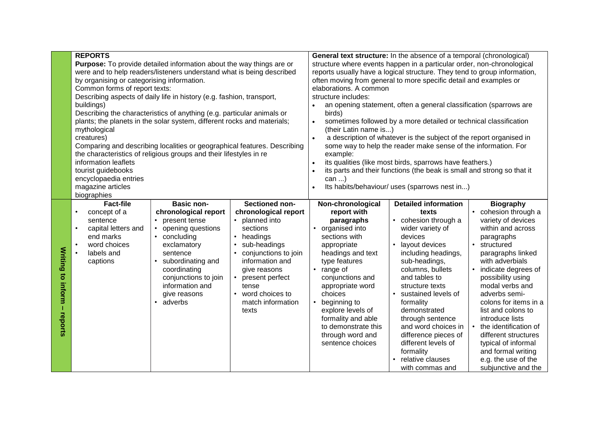|           | <b>REPORTS</b>                             |                                                                             |                      |                                                                           | General text structure: In the absence of a temporal (chronological)   |                                            |  |  |  |
|-----------|--------------------------------------------|-----------------------------------------------------------------------------|----------------------|---------------------------------------------------------------------------|------------------------------------------------------------------------|--------------------------------------------|--|--|--|
|           |                                            | <b>Purpose:</b> To provide detailed information about the way things are or |                      | structure where events happen in a particular order, non-chronological    |                                                                        |                                            |  |  |  |
|           |                                            | were and to help readers/listeners understand what is being described       |                      | reports usually have a logical structure. They tend to group information, |                                                                        |                                            |  |  |  |
|           | by organising or categorising information. |                                                                             |                      | often moving from general to more specific detail and examples or         |                                                                        |                                            |  |  |  |
|           | Common forms of report texts:              |                                                                             |                      | elaborations. A common                                                    |                                                                        |                                            |  |  |  |
|           |                                            | Describing aspects of daily life in history (e.g. fashion, transport,       |                      | structure includes:                                                       |                                                                        |                                            |  |  |  |
|           | buildings)                                 |                                                                             |                      |                                                                           | an opening statement, often a general classification (sparrows are     |                                            |  |  |  |
|           |                                            | Describing the characteristics of anything (e.g. particular animals or      |                      | birds)                                                                    |                                                                        |                                            |  |  |  |
|           |                                            | plants; the planets in the solar system, different rocks and materials;     |                      |                                                                           | sometimes followed by a more detailed or technical classification      |                                            |  |  |  |
|           | mythological                               |                                                                             |                      | (their Latin name is)                                                     |                                                                        |                                            |  |  |  |
|           | creatures)                                 |                                                                             |                      | $\bullet$                                                                 | a description of whatever is the subject of the report organised in    |                                            |  |  |  |
|           |                                            | Comparing and describing localities or geographical features. Describing    |                      |                                                                           | some way to help the reader make sense of the information. For         |                                            |  |  |  |
|           |                                            | the characteristics of religious groups and their lifestyles in re          |                      | example:                                                                  |                                                                        |                                            |  |  |  |
|           | information leaflets                       |                                                                             |                      | $\bullet$                                                                 | its qualities (like most birds, sparrows have feathers.)               |                                            |  |  |  |
|           | tourist guidebooks                         |                                                                             |                      |                                                                           | its parts and their functions (the beak is small and strong so that it |                                            |  |  |  |
|           | encyclopaedia entries                      |                                                                             |                      | can $\dots$ )                                                             |                                                                        |                                            |  |  |  |
|           | magazine articles                          |                                                                             |                      | Its habits/behaviour/ uses (sparrows nest in)                             |                                                                        |                                            |  |  |  |
|           | biographies                                |                                                                             |                      |                                                                           |                                                                        |                                            |  |  |  |
|           | <b>Fact-file</b>                           | <b>Basic non-</b>                                                           | Sectioned non-       | Non-chronological                                                         | <b>Detailed information</b>                                            | <b>Biography</b>                           |  |  |  |
|           | concept of a<br>$\bullet$                  | chronological report                                                        | chronological report | report with                                                               | texts                                                                  | cohesion through a                         |  |  |  |
|           | sentence                                   | • present tense                                                             | • planned into       | paragraphs                                                                | • cohesion through a                                                   | variety of devices                         |  |  |  |
|           | $\bullet$<br>capital letters and           | • opening questions                                                         | sections             | • organised into                                                          | wider variety of                                                       | within and across                          |  |  |  |
|           | end marks                                  | • concluding                                                                | • headings           | sections with                                                             | devices                                                                | paragraphs                                 |  |  |  |
|           | word choices<br>$\bullet$                  | exclamatory                                                                 | sub-headings         | appropriate                                                               | layout devices<br>$\bullet$                                            | structured<br>$\bullet$                    |  |  |  |
| Writing   | labels and<br>$\bullet$                    | sentence                                                                    | conjunctions to join | headings and text                                                         | including headings,                                                    | paragraphs linked                          |  |  |  |
|           | captions                                   | subordinating and<br>$\bullet$                                              | information and      | type features                                                             | sub-headings,                                                          | with adverbials                            |  |  |  |
|           |                                            | coordinating                                                                | give reasons         | • range of                                                                | columns, bullets                                                       | indicate degrees of                        |  |  |  |
|           |                                            | conjunctions to join                                                        | present perfect      | conjunctions and                                                          | and tables to                                                          | possibility using                          |  |  |  |
| to inform |                                            | information and                                                             | tense                | appropriate word                                                          | structure texts                                                        | modal verbs and                            |  |  |  |
|           |                                            | give reasons                                                                | word choices to      | choices                                                                   | • sustained levels of                                                  | adverbs semi-                              |  |  |  |
| T         | adverbs<br>match information<br>$\bullet$  |                                                                             |                      |                                                                           | formality                                                              | colons for items in a                      |  |  |  |
|           |                                            |                                                                             |                      | beginning to                                                              |                                                                        |                                            |  |  |  |
|           |                                            |                                                                             | texts                | explore levels of                                                         | demonstrated                                                           | list and colons to                         |  |  |  |
|           |                                            |                                                                             |                      | formality and able                                                        | through sentence                                                       | introduce lists                            |  |  |  |
|           |                                            |                                                                             |                      | to demonstrate this                                                       | and word choices in                                                    | the identification of                      |  |  |  |
|           |                                            |                                                                             |                      | through word and                                                          | difference pieces of                                                   | different structures                       |  |  |  |
| reports   |                                            |                                                                             |                      | sentence choices                                                          | different levels of                                                    | typical of informal                        |  |  |  |
|           |                                            |                                                                             |                      |                                                                           | formality                                                              | and formal writing                         |  |  |  |
|           |                                            |                                                                             |                      |                                                                           | relative clauses<br>with commas and                                    | e.g. the use of the<br>subjunctive and the |  |  |  |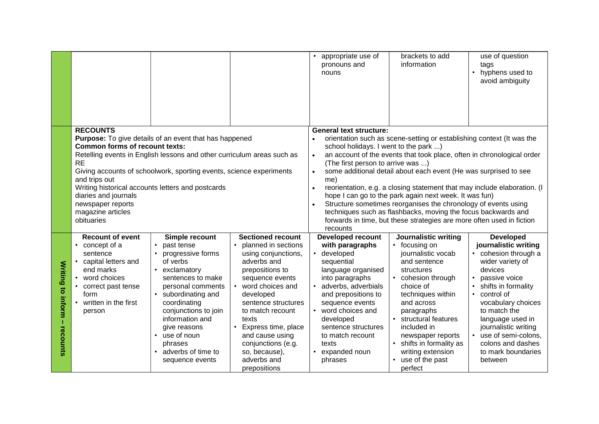|                                           |                                                                                                                                                                           |                                                                                                                                                                                                                                                                                                                                               |                                                                                                                                                                                                                                                                                                                                                            | appropriate use of<br>pronouns and<br>nouns                                                                                                                                                                                                                                                                                                                                                                                                                                                                                                                                                                                                                                                      | brackets to add<br>information                                                                                                                                                                                                                                                                                             | use of question<br>tags<br>hyphens used to<br>$\bullet$<br>avoid ambiguity                                                                                                                                                                                                                                                          |  |  |
|-------------------------------------------|---------------------------------------------------------------------------------------------------------------------------------------------------------------------------|-----------------------------------------------------------------------------------------------------------------------------------------------------------------------------------------------------------------------------------------------------------------------------------------------------------------------------------------------|------------------------------------------------------------------------------------------------------------------------------------------------------------------------------------------------------------------------------------------------------------------------------------------------------------------------------------------------------------|--------------------------------------------------------------------------------------------------------------------------------------------------------------------------------------------------------------------------------------------------------------------------------------------------------------------------------------------------------------------------------------------------------------------------------------------------------------------------------------------------------------------------------------------------------------------------------------------------------------------------------------------------------------------------------------------------|----------------------------------------------------------------------------------------------------------------------------------------------------------------------------------------------------------------------------------------------------------------------------------------------------------------------------|-------------------------------------------------------------------------------------------------------------------------------------------------------------------------------------------------------------------------------------------------------------------------------------------------------------------------------------|--|--|
|                                           | <b>RECOUNTS</b>                                                                                                                                                           |                                                                                                                                                                                                                                                                                                                                               |                                                                                                                                                                                                                                                                                                                                                            | <b>General text structure:</b>                                                                                                                                                                                                                                                                                                                                                                                                                                                                                                                                                                                                                                                                   |                                                                                                                                                                                                                                                                                                                            |                                                                                                                                                                                                                                                                                                                                     |  |  |
|                                           | <b>Common forms of recount texts:</b><br><b>RE</b><br>and trips out<br>diaries and journals<br>newspaper reports<br>magazine articles<br>obituaries                       | <b>Purpose:</b> To give details of an event that has happened<br>Retelling events in English lessons and other curriculum areas such as<br>Giving accounts of schoolwork, sporting events, science experiments<br>Writing historical accounts letters and postcards                                                                           |                                                                                                                                                                                                                                                                                                                                                            | orientation such as scene-setting or establishing context (It was the<br>$\bullet$<br>school holidays. I went to the park )<br>an account of the events that took place, often in chronological order<br>$\bullet$<br>(The first person to arrive was )<br>some additional detail about each event (He was surprised to see<br>me)<br>reorientation, e.g. a closing statement that may include elaboration. (I<br>hope I can go to the park again next week. It was fun)<br>Structure sometimes reorganises the chronology of events using<br>techniques such as flashbacks, moving the focus backwards and<br>forwards in time, but these strategies are more often used in fiction<br>recounts |                                                                                                                                                                                                                                                                                                                            |                                                                                                                                                                                                                                                                                                                                     |  |  |
| <b>Writing to inform</b><br>T<br>recounts | <b>Recount of event</b><br>• concept of a<br>sentence<br>capital letters and<br>end marks<br>word choices<br>correct past tense<br>form<br>written in the first<br>person | Simple recount<br>past tense<br>$\bullet$<br>progressive forms<br>$\bullet$<br>of verbs<br>exclamatory<br>sentences to make<br>personal comments<br>subordinating and<br>$\bullet$<br>coordinating<br>conjunctions to join<br>information and<br>give reasons<br>use of noun<br>$\bullet$<br>phrases<br>adverbs of time to<br>sequence events | <b>Sectioned recount</b><br>$\bullet$<br>planned in sections<br>using conjunctions,<br>adverbs and<br>prepositions to<br>sequence events<br>word choices and<br>developed<br>sentence structures<br>to match recount<br>texts<br>Express time, place<br>$\bullet$<br>and cause using<br>conjunctions (e.g.<br>so, because),<br>adverbs and<br>prepositions | <b>Developed recount</b><br>with paragraphs<br>developed<br>sequential<br>language organised<br>into paragraphs<br>adverbs, adverbials<br>and prepositions to<br>sequence events<br>word choices and<br>developed<br>sentence structures<br>to match recount<br>texts<br>expanded noun<br>phrases                                                                                                                                                                                                                                                                                                                                                                                                | <b>Journalistic writing</b><br>• focusing on<br>journalistic vocab<br>and sentence<br>structures<br>cohesion through<br>choice of<br>techniques within<br>and across<br>paragraphs<br>structural features<br>included in<br>newspaper reports<br>shifts in formality as<br>writing extension<br>use of the past<br>perfect | <b>Developed</b><br>journalistic writing<br>• cohesion through a<br>wider variety of<br>devices<br>passive voice<br>shifts in formality<br>control of<br>$\bullet$<br>vocabulary choices<br>to match the<br>language used in<br>journalistic writing<br>• use of semi-colons,<br>colons and dashes<br>to mark boundaries<br>between |  |  |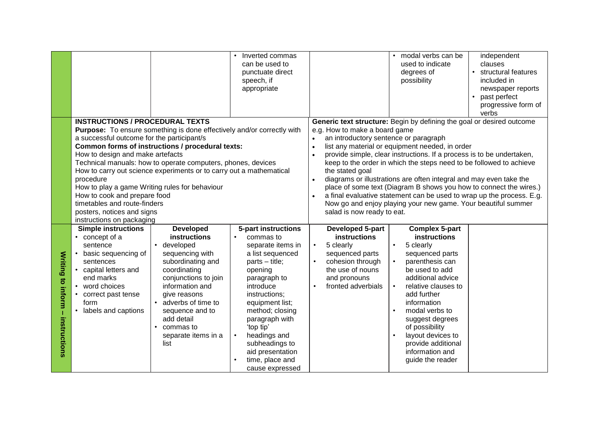|                                     |                                                                                                                                                                                                                                                                                                                    |                                                                                                                                                                                                                                                                                            | Inverted commas<br>can be used to<br>punctuate direct<br>speech, if<br>appropriate                                                                                                                                                                                                                                    |                                                                                                                                                                                                                                                                                                                                                                                                                                                                                                                                                                                                                                                                                                                     | modal verbs can be<br>used to indicate<br>degrees of<br>possibility                                                                                                                                                                                                                                                                                                  | independent<br>clauses<br>structural features<br>included in<br>newspaper reports<br>past perfect<br>$\bullet$<br>progressive form of |  |  |
|-------------------------------------|--------------------------------------------------------------------------------------------------------------------------------------------------------------------------------------------------------------------------------------------------------------------------------------------------------------------|--------------------------------------------------------------------------------------------------------------------------------------------------------------------------------------------------------------------------------------------------------------------------------------------|-----------------------------------------------------------------------------------------------------------------------------------------------------------------------------------------------------------------------------------------------------------------------------------------------------------------------|---------------------------------------------------------------------------------------------------------------------------------------------------------------------------------------------------------------------------------------------------------------------------------------------------------------------------------------------------------------------------------------------------------------------------------------------------------------------------------------------------------------------------------------------------------------------------------------------------------------------------------------------------------------------------------------------------------------------|----------------------------------------------------------------------------------------------------------------------------------------------------------------------------------------------------------------------------------------------------------------------------------------------------------------------------------------------------------------------|---------------------------------------------------------------------------------------------------------------------------------------|--|--|
|                                     |                                                                                                                                                                                                                                                                                                                    |                                                                                                                                                                                                                                                                                            |                                                                                                                                                                                                                                                                                                                       |                                                                                                                                                                                                                                                                                                                                                                                                                                                                                                                                                                                                                                                                                                                     |                                                                                                                                                                                                                                                                                                                                                                      | verbs                                                                                                                                 |  |  |
|                                     | <b>INSTRUCTIONS / PROCEDURAL TEXTS</b><br>a successful outcome for the participant/s<br>How to design and make artefacts<br>procedure<br>How to play a game Writing rules for behaviour<br>How to cook and prepare food<br>timetables and route-finders<br>posters, notices and signs<br>instructions on packaging | Purpose: To ensure something is done effectively and/or correctly with<br>Common forms of instructions / procedural texts:<br>Technical manuals: how to operate computers, phones, devices<br>How to carry out science experiments or to carry out a mathematical                          |                                                                                                                                                                                                                                                                                                                       | Generic text structure: Begin by defining the goal or desired outcome<br>e.g. How to make a board game<br>an introductory sentence or paragraph<br>$\bullet$<br>list any material or equipment needed, in order<br>$\bullet$<br>provide simple, clear instructions. If a process is to be undertaken,<br>keep to the order in which the steps need to be followed to achieve<br>the stated goal<br>diagrams or illustrations are often integral and may even take the<br>place of some text (Diagram B shows you how to connect the wires.)<br>a final evaluative statement can be used to wrap up the process. E.g.<br>Now go and enjoy playing your new game. Your beautiful summer<br>salad is now ready to eat. |                                                                                                                                                                                                                                                                                                                                                                      |                                                                                                                                       |  |  |
| Writing to inform -<br>instructions | <b>Simple instructions</b><br>• concept of a<br>sentence<br>basic sequencing of<br>sentences<br>capital letters and<br>end marks<br>word choices<br>$\bullet$<br>correct past tense<br>form<br>labels and captions<br>$\bullet$                                                                                    | <b>Developed</b><br>instructions<br>• developed<br>sequencing with<br>subordinating and<br>coordinating<br>conjunctions to join<br>information and<br>give reasons<br>adverbs of time to<br>$\bullet$<br>sequence and to<br>add detail<br>$\cdot$ commas to<br>separate items in a<br>list | 5-part instructions<br>commas to<br>separate items in<br>a list sequenced<br>parts - title;<br>opening<br>paragraph to<br>introduce<br>instructions;<br>equipment list;<br>method; closing<br>paragraph with<br>'top tip'<br>headings and<br>subheadings to<br>aid presentation<br>time, place and<br>cause expressed | Developed 5-part<br>instructions<br>5 clearly<br>$\bullet$<br>sequenced parts<br>cohesion through<br>the use of nouns<br>and pronouns<br>fronted adverbials                                                                                                                                                                                                                                                                                                                                                                                                                                                                                                                                                         | <b>Complex 5-part</b><br>instructions<br>5 clearly<br>$\bullet$<br>sequenced parts<br>parenthesis can<br>be used to add<br>additional advice<br>relative clauses to<br>$\bullet$<br>add further<br>information<br>modal verbs to<br>$\bullet$<br>suggest degrees<br>of possibility<br>layout devices to<br>provide additional<br>information and<br>guide the reader |                                                                                                                                       |  |  |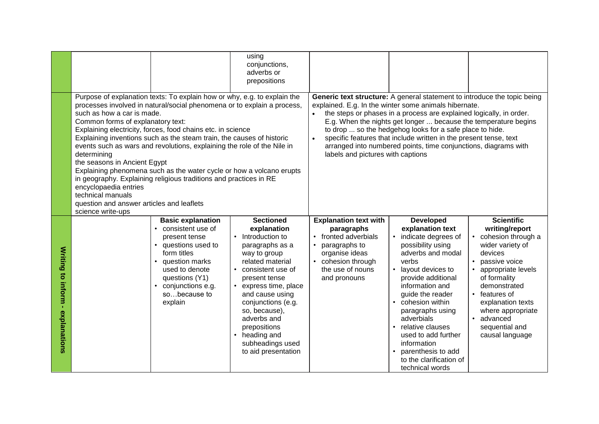|                                            |                                                                                                                                                                                                                                |                                                                                                                                                                                                                                                                                                                                                                                                                                                                                                                     | using<br>conjunctions,<br>adverbs or<br>prepositions                                                                                                                                                                                                                                                                                   |                                                                                                                                                                                                                                                                                                                                                                                                                                                                                                                      |                                                                                                                                                                                                                                                                                                                                                                                                                 |                                                                                                                                                                                                                                                                                                     |  |  |
|--------------------------------------------|--------------------------------------------------------------------------------------------------------------------------------------------------------------------------------------------------------------------------------|---------------------------------------------------------------------------------------------------------------------------------------------------------------------------------------------------------------------------------------------------------------------------------------------------------------------------------------------------------------------------------------------------------------------------------------------------------------------------------------------------------------------|----------------------------------------------------------------------------------------------------------------------------------------------------------------------------------------------------------------------------------------------------------------------------------------------------------------------------------------|----------------------------------------------------------------------------------------------------------------------------------------------------------------------------------------------------------------------------------------------------------------------------------------------------------------------------------------------------------------------------------------------------------------------------------------------------------------------------------------------------------------------|-----------------------------------------------------------------------------------------------------------------------------------------------------------------------------------------------------------------------------------------------------------------------------------------------------------------------------------------------------------------------------------------------------------------|-----------------------------------------------------------------------------------------------------------------------------------------------------------------------------------------------------------------------------------------------------------------------------------------------------|--|--|
|                                            | such as how a car is made.<br>Common forms of explanatory text:<br>determining<br>the seasons in Ancient Egypt<br>encyclopaedia entries<br>technical manuals<br>question and answer articles and leaflets<br>science write-ups | Purpose of explanation texts: To explain how or why, e.g. to explain the<br>processes involved in natural/social phenomena or to explain a process,<br>Explaining electricity, forces, food chains etc. in science<br>Explaining inventions such as the steam train, the causes of historic<br>events such as wars and revolutions, explaining the role of the Nile in<br>Explaining phenomena such as the water cycle or how a volcano erupts<br>in geography. Explaining religious traditions and practices in RE |                                                                                                                                                                                                                                                                                                                                        | Generic text structure: A general statement to introduce the topic being<br>explained. E.g. In the winter some animals hibernate.<br>the steps or phases in a process are explained logically, in order.<br>E.g. When the nights get longer  because the temperature begins<br>to drop  so the hedgehog looks for a safe place to hide.<br>specific features that include written in the present tense, text<br>arranged into numbered points, time conjunctions, diagrams with<br>labels and pictures with captions |                                                                                                                                                                                                                                                                                                                                                                                                                 |                                                                                                                                                                                                                                                                                                     |  |  |
| <b>Writing to inform</b><br>- explanations |                                                                                                                                                                                                                                | <b>Basic explanation</b><br>consistent use of<br>$\bullet$<br>present tense<br>questions used to<br>$\bullet$<br>form titles<br>question marks<br>used to denote<br>questions (Y1)<br>conjunctions e.g.<br>sobecause to<br>explain                                                                                                                                                                                                                                                                                  | <b>Sectioned</b><br>explanation<br>Introduction to<br>paragraphs as a<br>way to group<br>related material<br>consistent use of<br>present tense<br>express time, place<br>and cause using<br>conjunctions (e.g.<br>so, because),<br>adverbs and<br>prepositions<br>heading and<br>$\bullet$<br>subheadings used<br>to aid presentation | <b>Explanation text with</b><br>paragraphs<br>• fronted adverbials<br>paragraphs to<br>organise ideas<br>cohesion through<br>the use of nouns<br>and pronouns                                                                                                                                                                                                                                                                                                                                                        | <b>Developed</b><br>explanation text<br>indicate degrees of<br>$\bullet$<br>possibility using<br>adverbs and modal<br>verbs<br>layout devices to<br>provide additional<br>information and<br>guide the reader<br>cohesion within<br>$\bullet$<br>paragraphs using<br>adverbials<br>• relative clauses<br>used to add further<br>information<br>parenthesis to add<br>to the clarification of<br>technical words | <b>Scientific</b><br>writing/report<br>cohesion through a<br>wider variety of<br>devices<br>passive voice<br>appropriate levels<br>of formality<br>demonstrated<br>features of<br>$\bullet$<br>explanation texts<br>where appropriate<br>advanced<br>$\bullet$<br>sequential and<br>causal language |  |  |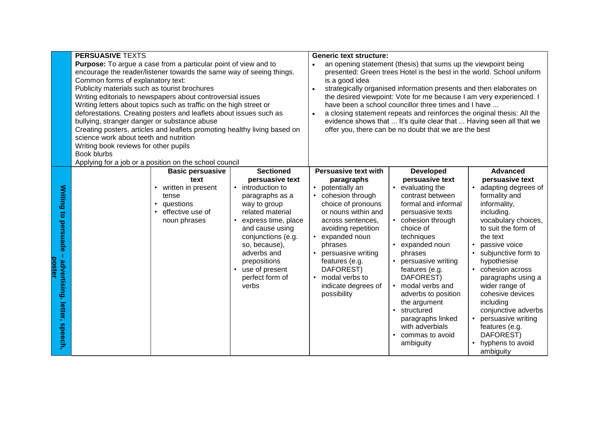|                      | <b>PERSUASIVE TEXTS</b>                       |                                                                           |                                                                               | <b>Generic text structure:</b>                                          |                                                                     |                                  |  |  |
|----------------------|-----------------------------------------------|---------------------------------------------------------------------------|-------------------------------------------------------------------------------|-------------------------------------------------------------------------|---------------------------------------------------------------------|----------------------------------|--|--|
|                      |                                               | <b>Purpose:</b> To argue a case from a particular point of view and to    |                                                                               | $\bullet$                                                               | an opening statement (thesis) that sums up the viewpoint being      |                                  |  |  |
|                      |                                               | encourage the reader/listener towards the same way of seeing things.      |                                                                               | presented: Green trees Hotel is the best in the world. School uniform   |                                                                     |                                  |  |  |
|                      | Common forms of explanatory text:             |                                                                           |                                                                               | is a good idea                                                          |                                                                     |                                  |  |  |
|                      | Publicity materials such as tourist brochures |                                                                           |                                                                               |                                                                         | strategically organised information presents and then elaborates on |                                  |  |  |
|                      |                                               | Writing editorials to newspapers about controversial issues               |                                                                               | the desired viewpoint: Vote for me because I am very experienced. I     |                                                                     |                                  |  |  |
|                      |                                               | Writing letters about topics such as traffic on the high street or        |                                                                               | have been a school councillor three times and I have                    |                                                                     |                                  |  |  |
|                      |                                               | deforestations. Creating posters and leaflets about issues such as        |                                                                               | a closing statement repeats and reinforces the original thesis: All the |                                                                     |                                  |  |  |
|                      | bullying, stranger danger or substance abuse  |                                                                           |                                                                               |                                                                         | evidence shows that  It's quite clear that  Having seen all that we |                                  |  |  |
|                      |                                               | Creating posters, articles and leaflets promoting healthy living based on |                                                                               |                                                                         | offer you, there can be no doubt that we are the best               |                                  |  |  |
|                      | science work about teeth and nutrition        |                                                                           |                                                                               |                                                                         |                                                                     |                                  |  |  |
|                      | Writing book reviews for other pupils         |                                                                           |                                                                               |                                                                         |                                                                     |                                  |  |  |
|                      | Book blurbs                                   |                                                                           |                                                                               |                                                                         |                                                                     |                                  |  |  |
|                      |                                               | Applying for a job or a position on the school council                    |                                                                               |                                                                         |                                                                     |                                  |  |  |
|                      |                                               | <b>Basic persuasive</b>                                                   | <b>Sectioned</b>                                                              | <b>Persuasive text with</b>                                             | <b>Developed</b>                                                    | <b>Advanced</b>                  |  |  |
|                      |                                               | text                                                                      | persuasive text                                                               | paragraphs                                                              | persuasive text                                                     | persuasive text                  |  |  |
| <b>Writing</b>       |                                               | written in present<br>$\bullet$                                           | introduction to                                                               | • potentially an                                                        | evaluating the<br>$\bullet$                                         | adapting degrees of              |  |  |
|                      |                                               | tense                                                                     | paragraphs as a                                                               | cohesion through                                                        | contrast between                                                    | formality and                    |  |  |
|                      |                                               | questions<br>$\bullet$                                                    | way to group                                                                  | choice of pronouns                                                      | formal and informal                                                 | informality,                     |  |  |
|                      |                                               | effective use of<br>$\bullet$                                             | related material                                                              | or nouns within and                                                     | persuasive texts                                                    | including.                       |  |  |
| to persuade          |                                               | noun phrases                                                              | express time, place<br>and cause using<br>conjunctions (e.g.<br>so, because), | across sentences,                                                       | • cohesion through                                                  | vocabulary choices,              |  |  |
|                      |                                               |                                                                           |                                                                               | avoiding repetition                                                     | choice of                                                           | to suit the form of              |  |  |
|                      |                                               |                                                                           |                                                                               | expanded noun                                                           | techniques                                                          | the text                         |  |  |
|                      |                                               |                                                                           |                                                                               | phrases                                                                 | expanded noun<br>$\bullet$                                          | passive voice<br>$\bullet$       |  |  |
|                      |                                               |                                                                           | adverbs and                                                                   | persuasive writing                                                      | phrases                                                             | subjunctive form to<br>$\bullet$ |  |  |
|                      |                                               |                                                                           | prepositions                                                                  | features (e.g.                                                          | persuasive writing<br>$\bullet$                                     | hypothesise                      |  |  |
| poster               |                                               |                                                                           | use of present<br>$\bullet$                                                   | DAFOREST)                                                               | features (e.g.                                                      | cohesion across<br>$\bullet$     |  |  |
|                      |                                               |                                                                           | perfect form of                                                               | modal verbs to                                                          | DAFOREST)                                                           | paragraphs using a               |  |  |
|                      |                                               |                                                                           | verbs                                                                         | indicate degrees of                                                     | modal verbs and<br>$\bullet$                                        | wider range of                   |  |  |
|                      |                                               |                                                                           |                                                                               | possibility                                                             | adverbs to position                                                 | cohesive devices                 |  |  |
|                      |                                               |                                                                           |                                                                               |                                                                         | the argument                                                        | including                        |  |  |
| advertising. letter, |                                               |                                                                           |                                                                               |                                                                         | structured<br>$\bullet$                                             | conjunctive adverbs              |  |  |
|                      |                                               |                                                                           |                                                                               |                                                                         | paragraphs linked                                                   | persuasive writing               |  |  |
| speech,              |                                               |                                                                           |                                                                               |                                                                         | with adverbials                                                     | features (e.g.                   |  |  |
|                      |                                               |                                                                           |                                                                               |                                                                         | commas to avoid<br>$\bullet$                                        | DAFOREST)                        |  |  |
|                      |                                               |                                                                           |                                                                               |                                                                         | ambiguity                                                           | hyphens to avoid                 |  |  |
|                      |                                               |                                                                           |                                                                               |                                                                         |                                                                     | ambiguity                        |  |  |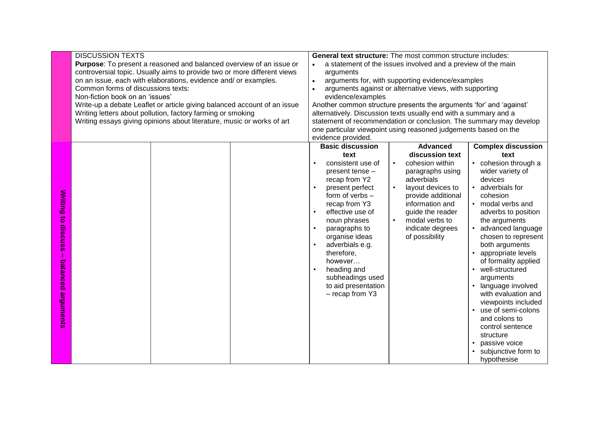|                   | <b>DISCUSSION TEXTS</b>                                                    |  | <b>General text structure:</b> The most common structure includes:  |                                                                    |                           |  |  |  |
|-------------------|----------------------------------------------------------------------------|--|---------------------------------------------------------------------|--------------------------------------------------------------------|---------------------------|--|--|--|
|                   | <b>Purpose:</b> To present a reasoned and balanced overview of an issue or |  | a statement of the issues involved and a preview of the main        |                                                                    |                           |  |  |  |
|                   | controversial topic. Usually aims to provide two or more different views   |  | arguments                                                           |                                                                    |                           |  |  |  |
|                   | on an issue, each with elaborations, evidence and/ or examples.            |  | arguments for, with supporting evidence/examples                    |                                                                    |                           |  |  |  |
|                   | Common forms of discussions texts:                                         |  |                                                                     | arguments against or alternative views, with supporting            |                           |  |  |  |
|                   | Non-fiction book on an 'issues'                                            |  | evidence/examples                                                   |                                                                    |                           |  |  |  |
|                   | Write-up a debate Leaflet or article giving balanced account of an issue   |  | Another common structure presents the arguments 'for' and 'against' |                                                                    |                           |  |  |  |
|                   | Writing letters about pollution, factory farming or smoking                |  | alternatively. Discussion texts usually end with a summary and a    |                                                                    |                           |  |  |  |
|                   | Writing essays giving opinions about literature, music or works of art     |  |                                                                     | statement of recommendation or conclusion. The summary may develop |                           |  |  |  |
|                   |                                                                            |  |                                                                     | one particular viewpoint using reasoned judgements based on the    |                           |  |  |  |
|                   |                                                                            |  | evidence provided.                                                  |                                                                    |                           |  |  |  |
|                   |                                                                            |  | <b>Basic discussion</b>                                             | <b>Advanced</b>                                                    | <b>Complex discussion</b> |  |  |  |
|                   |                                                                            |  | text                                                                | discussion text                                                    | text                      |  |  |  |
|                   |                                                                            |  | consistent use of                                                   | cohesion within<br>$\bullet$                                       | • cohesion through a      |  |  |  |
|                   |                                                                            |  | present tense -                                                     | paragraphs using                                                   | wider variety of          |  |  |  |
|                   |                                                                            |  | recap from Y2                                                       | adverbials                                                         | devices                   |  |  |  |
|                   |                                                                            |  | present perfect                                                     | layout devices to                                                  | • adverbials for          |  |  |  |
|                   |                                                                            |  | form of verbs -                                                     | provide additional                                                 | cohesion                  |  |  |  |
|                   |                                                                            |  | recap from Y3                                                       | information and                                                    | • modal verbs and         |  |  |  |
| <b>Writing to</b> |                                                                            |  | effective use of                                                    | guide the reader                                                   | adverbs to position       |  |  |  |
|                   |                                                                            |  | noun phrases                                                        | modal verbs to<br>$\bullet$<br>indicate degrees                    | the arguments             |  |  |  |
| discuss           |                                                                            |  | paragraphs to                                                       | • advanced language                                                |                           |  |  |  |
|                   |                                                                            |  | organise ideas                                                      | of possibility                                                     | chosen to represent       |  |  |  |
|                   |                                                                            |  | adverbials e.g.                                                     |                                                                    | both arguments            |  |  |  |
|                   |                                                                            |  | therefore,                                                          |                                                                    | • appropriate levels      |  |  |  |
|                   |                                                                            |  | however                                                             |                                                                    | of formality applied      |  |  |  |
|                   |                                                                            |  | heading and                                                         |                                                                    | • well-structured         |  |  |  |
| balanced          |                                                                            |  | subheadings used                                                    |                                                                    | arguments                 |  |  |  |
|                   |                                                                            |  | to aid presentation                                                 |                                                                    | • language involved       |  |  |  |
|                   |                                                                            |  | - recap from Y3                                                     |                                                                    | with evaluation and       |  |  |  |
|                   |                                                                            |  |                                                                     |                                                                    | viewpoints included       |  |  |  |
| arguments         |                                                                            |  |                                                                     |                                                                    | • use of semi-colons      |  |  |  |
|                   |                                                                            |  |                                                                     |                                                                    | and colons to             |  |  |  |
|                   |                                                                            |  |                                                                     |                                                                    | control sentence          |  |  |  |
|                   |                                                                            |  |                                                                     |                                                                    | structure                 |  |  |  |
|                   |                                                                            |  |                                                                     |                                                                    | passive voice             |  |  |  |
|                   |                                                                            |  |                                                                     |                                                                    | subjunctive form to       |  |  |  |
|                   |                                                                            |  |                                                                     |                                                                    | hypothesise               |  |  |  |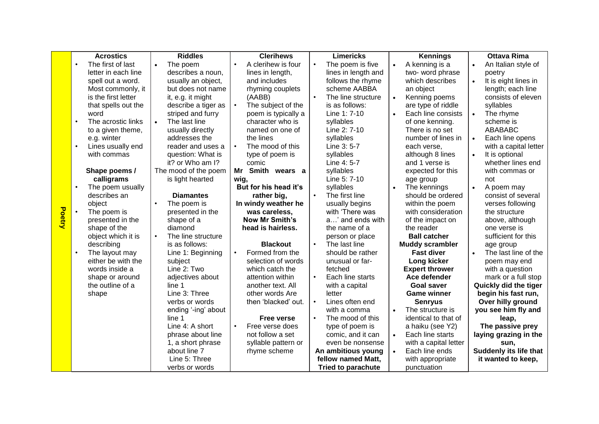|               |           | <b>Acrostics</b>    | <b>Riddles</b>                  | <b>Clerihews</b>                |           | <b>Limericks</b>          |           | <b>Kennings</b>        |           | <b>Ottava Rima</b>     |
|---------------|-----------|---------------------|---------------------------------|---------------------------------|-----------|---------------------------|-----------|------------------------|-----------|------------------------|
|               | $\bullet$ | The first of last   | The poem<br>$\bullet$           | A clerihew is four<br>$\bullet$ |           | The poem is five          | $\bullet$ | A kenning is a         | $\bullet$ | An Italian style of    |
|               |           | letter in each line | describes a noun,               | lines in length,                |           | lines in length and       |           | two-word phrase        |           | poetry                 |
|               |           | spell out a word.   | usually an object,              | and includes                    |           | follows the rhyme         |           | which describes        | $\bullet$ | It is eight lines in   |
|               |           | Most commonly, it   | but does not name               | rhyming couplets                |           | scheme AABBA              |           | an object              |           | length; each line      |
|               |           | is the first letter | it, e.g. it might               | (AABB)                          |           | The line structure        |           | Kenning poems          |           | consists of eleven     |
|               |           | that spells out the | describe a tiger as             | The subject of the              |           | is as follows:            |           | are type of riddle     |           | syllables              |
|               |           | word                | striped and furry               | poem is typically a             |           | Line 1: 7-10              | $\bullet$ | Each line consists     |           | The rhyme              |
|               | $\bullet$ | The acrostic links  | The last line<br>$\bullet$      | character who is                |           | syllables                 |           | of one kenning.        |           | scheme is              |
|               |           | to a given theme,   | usually directly                | named on one of                 |           | Line 2: 7-10              |           | There is no set        |           | ABABABC                |
|               |           | e.g. winter         | addresses the                   | the lines                       |           | syllables                 |           | number of lines in     | $\bullet$ | Each line opens        |
|               | $\bullet$ | Lines usually end   | reader and uses a               | The mood of this<br>$\bullet$   |           | Line 3: 5-7               |           | each verse,            |           | with a capital letter  |
|               |           | with commas         | question: What is               | type of poem is                 |           | syllables                 |           | although 8 lines       | $\bullet$ | It is optional         |
|               |           |                     | it? or Who am I?                | comic                           |           | Line 4: 5-7               |           | and 1 verse is         |           | whether lines end      |
|               |           | Shape poems /       | The mood of the poem            | Smith wears a<br>Mr             |           | syllables                 |           | expected for this      |           | with commas or         |
|               |           | calligrams          | is light hearted                | wig,                            |           | Line 5: 7-10              |           | age group              |           | not                    |
|               | $\bullet$ | The poem usually    |                                 | But for his head it's           |           | syllables                 |           | The kennings           | $\bullet$ | A poem may             |
|               |           | describes an        | <b>Diamantes</b>                | rather big,                     |           | The first line            |           | should be ordered      |           | consist of several     |
|               |           | object              | The poem is                     | In windy weather he             |           | usually begins            |           | within the poem        |           | verses following       |
|               | $\bullet$ | The poem is         | presented in the                | was careless,                   |           | with 'There was           |           | with consideration     |           | the structure          |
| <b>Poetry</b> |           | presented in the    | shape of a                      | <b>Now Mr Smith's</b>           |           | a' and ends with          |           | of the impact on       |           | above, although        |
|               |           | shape of the        | diamond                         | head is hairless.               |           | the name of a             |           | the reader             |           | one verse is           |
|               |           | object which it is  | The line structure<br>$\bullet$ |                                 |           | person or place           |           | <b>Ball catcher</b>    |           | sufficient for this    |
|               |           | describing          | is as follows:                  | <b>Blackout</b>                 | $\bullet$ | The last line             |           | <b>Muddy scrambler</b> |           | age group              |
|               | $\bullet$ | The layout may      | Line 1: Beginning               | Formed from the<br>$\bullet$    |           | should be rather          |           | <b>Fast diver</b>      | $\bullet$ | The last line of the   |
|               |           | either be with the  | subject                         | selection of words              |           | unusual or far-           |           | Long kicker            |           | poem may end           |
|               |           | words inside a      | Line 2: Two                     | which catch the                 |           | fetched                   |           | <b>Expert thrower</b>  |           | with a question        |
|               |           | shape or around     | adjectives about                | attention within                |           | Each line starts          |           | Ace defender           |           | mark or a full stop    |
|               |           | the outline of a    | line 1                          | another text. All               |           | with a capital            |           | Goal saver             |           | Quickly did the tiger  |
|               |           | shape               | Line 3: Three                   | other words Are                 |           | letter                    |           | <b>Game winner</b>     |           | begin his fast run,    |
|               |           |                     | verbs or words                  | then 'blacked' out.             |           | Lines often end           |           | <b>Senryus</b>         |           | Over hilly ground      |
|               |           |                     | ending '-ing' about             |                                 |           | with a comma              | $\bullet$ | The structure is       |           | you see him fly and    |
|               |           |                     | line 1                          | <b>Free verse</b>               |           | The mood of this          |           | identical to that of   |           | leap,                  |
|               |           |                     | Line 4: A short                 | Free verse does<br>$\bullet$    |           | type of poem is           |           | a haiku (see Y2)       |           | The passive prey       |
|               |           |                     | phrase about line               | not follow a set                |           | comic, and it can         | $\bullet$ | Each line starts       |           | laying grazing in the  |
|               |           |                     | 1, a short phrase               | syllable pattern or             |           | even be nonsense          |           | with a capital letter  |           | sun,                   |
|               |           |                     | about line 7                    | rhyme scheme                    |           | An ambitious young        | $\bullet$ | Each line ends         |           | Suddenly its life that |
|               |           |                     | Line 5: Three                   |                                 |           | fellow named Matt,        |           | with appropriate       |           | it wanted to keep,     |
|               |           |                     | verbs or words                  |                                 |           | <b>Tried to parachute</b> |           | punctuation            |           |                        |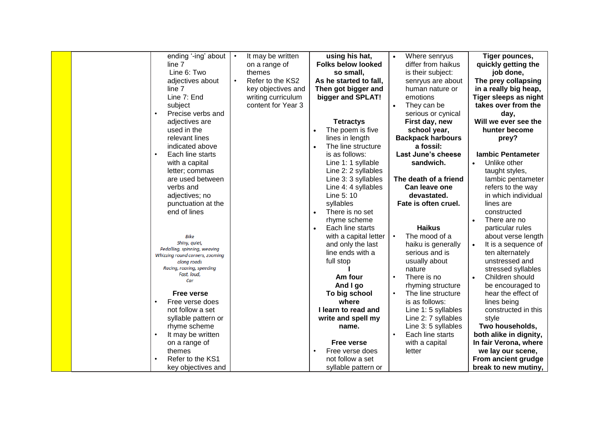|  | ending '-ing' about                           | $\bullet$ | It may be written       | using his hat,                  |           | Where senryus<br>differ from haikus | Tiger pounces,           |
|--|-----------------------------------------------|-----------|-------------------------|---------------------------------|-----------|-------------------------------------|--------------------------|
|  | line 7<br>Line 6: Two                         |           | on a range of<br>themes | <b>Folks below looked</b>       |           |                                     | quickly getting the      |
|  |                                               |           | Refer to the KS2        | so small,                       |           | is their subject:                   | job done,                |
|  | adjectives about                              |           |                         | As he started to fall,          |           | senryus are about                   | The prey collapsing      |
|  | line 7                                        |           | key objectives and      | Then got bigger and             |           | human nature or                     | in a really big heap,    |
|  | Line 7: End                                   |           | writing curriculum      | bigger and SPLAT!               |           | emotions                            | Tiger sleeps as night    |
|  | subject                                       |           | content for Year 3      |                                 |           | They can be                         | takes over from the      |
|  | Precise verbs and                             |           |                         |                                 |           | serious or cynical                  | day,                     |
|  | adjectives are                                |           |                         | <b>Tetractys</b>                |           | First day, new                      | Will we ever see the     |
|  | used in the                                   |           |                         | The poem is five                |           | school year,                        | hunter become            |
|  | relevant lines                                |           |                         | lines in length                 |           | <b>Backpack harbours</b>            | prey?                    |
|  | indicated above                               |           |                         | The line structure<br>$\bullet$ |           | a fossil:                           |                          |
|  | Each line starts<br>$\bullet$                 |           |                         | is as follows:                  |           | Last June's cheese                  | <b>lambic Pentameter</b> |
|  | with a capital                                |           |                         | Line 1: 1 syllable              |           | sandwich.                           | Unlike other             |
|  | letter; commas                                |           |                         | Line 2: 2 syllables             |           |                                     | taught styles,           |
|  | are used between                              |           |                         | Line 3: 3 syllables             |           | The death of a friend               | lambic pentameter        |
|  | verbs and                                     |           |                         | Line 4: 4 syllables             |           | Can leave one                       | refers to the way        |
|  | adjectives; no                                |           |                         | Line 5: 10                      |           | devastated.                         | in which individual      |
|  | punctuation at the                            |           |                         | syllables                       |           | Fate is often cruel.                | lines are                |
|  | end of lines                                  |           |                         | There is no set<br>$\bullet$    |           |                                     | constructed              |
|  |                                               |           |                         | rhyme scheme                    |           |                                     | There are no             |
|  |                                               |           |                         | Each line starts                |           | <b>Haikus</b>                       | particular rules         |
|  | <b>Bike</b>                                   |           |                         | with a capital letter           |           | The mood of a                       | about verse length       |
|  | Shiny, quiet,<br>Pedalling, spinning, weaving |           |                         | and only the last               |           | haiku is generally                  | It is a sequence of      |
|  | Whizzing round corners, zooming               |           |                         | line ends with a                |           | serious and is                      | ten alternately          |
|  | along roads                                   |           |                         | full stop                       |           | usually about                       | unstressed and           |
|  | Racing, roaring, speeding<br>Fast, loud,      |           |                         |                                 |           | nature                              | stressed syllables       |
|  | Car                                           |           |                         | Am four                         | $\bullet$ | There is no                         | Children should          |
|  |                                               |           |                         | And I go                        |           | rhyming structure                   | be encouraged to         |
|  | <b>Free verse</b>                             |           |                         | To big school                   |           | The line structure                  | hear the effect of       |
|  | Free verse does                               |           |                         | where                           |           | is as follows:                      | lines being              |
|  | not follow a set                              |           |                         | I learn to read and             |           | Line 1: 5 syllables                 | constructed in this      |
|  | syllable pattern or                           |           |                         | write and spell my              |           | Line 2: 7 syllables                 | style                    |
|  | rhyme scheme                                  |           |                         | name.                           |           | Line 3: 5 syllables                 | Two households,          |
|  | It may be written                             |           |                         |                                 | $\bullet$ | Each line starts                    | both alike in dignity,   |
|  | on a range of                                 |           |                         | <b>Free verse</b>               |           | with a capital                      | In fair Verona, where    |
|  | themes                                        |           |                         | Free verse does                 |           | letter                              | we lay our scene,        |
|  | Refer to the KS1                              |           |                         | not follow a set                |           |                                     | From ancient grudge      |
|  | key objectives and                            |           |                         | syllable pattern or             |           |                                     | break to new mutiny,     |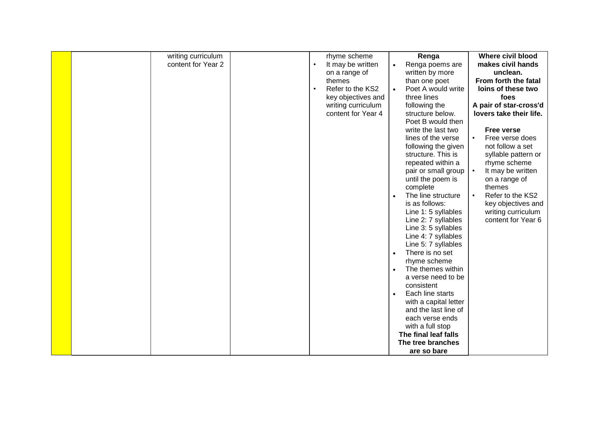| writing curriculum |  | rhyme scheme       |           | Renga                 | <b>Where civil blood</b>      |
|--------------------|--|--------------------|-----------|-----------------------|-------------------------------|
| content for Year 2 |  | It may be written  | $\bullet$ | Renga poems are       | makes civil hands             |
|                    |  | on a range of      |           | written by more       | unclean.                      |
|                    |  | themes             |           | than one poet         | From forth the fatal          |
|                    |  | Refer to the KS2   |           | Poet A would write    | loins of these two            |
|                    |  | key objectives and |           | three lines           | foes                          |
|                    |  | writing curriculum |           | following the         | A pair of star-cross'd        |
|                    |  | content for Year 4 |           | structure below.      | lovers take their life.       |
|                    |  |                    |           | Poet B would then     |                               |
|                    |  |                    |           | write the last two    | <b>Free verse</b>             |
|                    |  |                    |           | lines of the verse    | Free verse does               |
|                    |  |                    |           | following the given   | not follow a set              |
|                    |  |                    |           | structure. This is    | syllable pattern or           |
|                    |  |                    |           | repeated within a     | rhyme scheme                  |
|                    |  |                    |           | pair or small group   | It may be written             |
|                    |  |                    |           | until the poem is     | on a range of                 |
|                    |  |                    |           | complete              | themes                        |
|                    |  |                    | $\bullet$ | The line structure    | Refer to the KS2<br>$\bullet$ |
|                    |  |                    |           | is as follows:        | key objectives and            |
|                    |  |                    |           | Line 1: 5 syllables   | writing curriculum            |
|                    |  |                    |           | Line 2: 7 syllables   | content for Year 6            |
|                    |  |                    |           | Line 3: 5 syllables   |                               |
|                    |  |                    |           | Line 4: 7 syllables   |                               |
|                    |  |                    |           | Line 5: 7 syllables   |                               |
|                    |  |                    | $\bullet$ | There is no set       |                               |
|                    |  |                    |           | rhyme scheme          |                               |
|                    |  |                    | $\bullet$ | The themes within     |                               |
|                    |  |                    |           | a verse need to be    |                               |
|                    |  |                    |           | consistent            |                               |
|                    |  |                    | $\bullet$ | Each line starts      |                               |
|                    |  |                    |           | with a capital letter |                               |
|                    |  |                    |           | and the last line of  |                               |
|                    |  |                    |           | each verse ends       |                               |
|                    |  |                    |           | with a full stop      |                               |
|                    |  |                    |           | The final leaf falls  |                               |
|                    |  |                    |           | The tree branches     |                               |
|                    |  |                    |           | are so bare           |                               |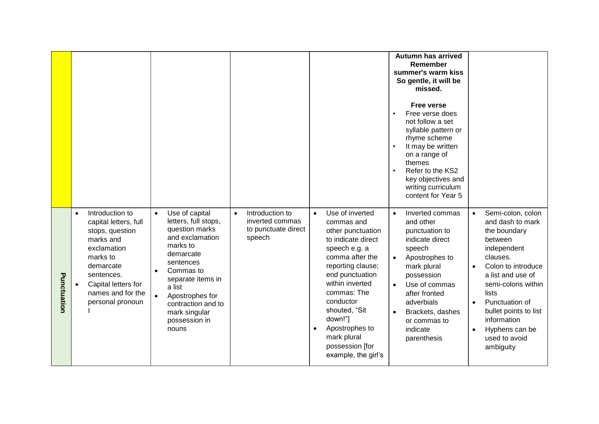|             |                                                                                                                                                                                                                          |                                                                                                                                                                                                                                                                             |                                                                                  |                                                                                                                                                                                                                                                                                                                         | <b>Autumn has arrived</b><br>Remember<br>summer's warm kiss<br>So gentle, it will be<br>missed.<br><b>Free verse</b><br>Free verse does<br>not follow a set<br>syllable pattern or<br>rhyme scheme<br>It may be written<br>on a range of<br>themes<br>Refer to the KS2<br>key objectives and<br>writing curriculum<br>content for Year 5 |                                                                                                                                                                                                                                                                                                                                     |
|-------------|--------------------------------------------------------------------------------------------------------------------------------------------------------------------------------------------------------------------------|-----------------------------------------------------------------------------------------------------------------------------------------------------------------------------------------------------------------------------------------------------------------------------|----------------------------------------------------------------------------------|-------------------------------------------------------------------------------------------------------------------------------------------------------------------------------------------------------------------------------------------------------------------------------------------------------------------------|------------------------------------------------------------------------------------------------------------------------------------------------------------------------------------------------------------------------------------------------------------------------------------------------------------------------------------------|-------------------------------------------------------------------------------------------------------------------------------------------------------------------------------------------------------------------------------------------------------------------------------------------------------------------------------------|
| Punctuation | Introduction to<br>$\bullet$<br>capital letters, full<br>stops, question<br>marks and<br>exclamation<br>marks to<br>demarcate<br>sentences.<br>Capital letters for<br>$\bullet$<br>names and for the<br>personal pronoun | Use of capital<br>$\bullet$<br>letters, full stops,<br>question marks<br>and exclamation<br>marks to<br>demarcate<br>sentences<br>Commas to<br>$\bullet$<br>separate items in<br>a list<br>Apostrophes for<br>contraction and to<br>mark singular<br>possession in<br>nouns | Introduction to<br>$\bullet$<br>inverted commas<br>to punctuate direct<br>speech | Use of inverted<br>$\bullet$<br>commas and<br>other punctuation<br>to indicate direct<br>speech e.g. a<br>comma after the<br>reporting clause;<br>end punctuation<br>within inverted<br>commas: The<br>conductor<br>shouted, "Sit<br>down!"]<br>Apostrophes to<br>mark plural<br>possession [for<br>example, the girl's | Inverted commas<br>$\bullet$<br>and other<br>punctuation to<br>indicate direct<br>speech<br>Apostrophes to<br>$\bullet$<br>mark plural<br>possession<br>Use of commas<br>$\bullet$<br>after fronted<br>adverbials<br>Brackets, dashes<br>or commas to<br>indicate<br>parenthesis                                                         | Semi-colon, colon<br>$\bullet$<br>and dash to mark<br>the boundary<br>between<br>independent<br>clauses.<br>Colon to introduce<br>$\bullet$<br>a list and use of<br>semi-colons within<br>lists<br>Punctuation of<br>$\bullet$<br>bullet points to list<br>information<br>Hyphens can be<br>$\bullet$<br>used to avoid<br>ambiguity |